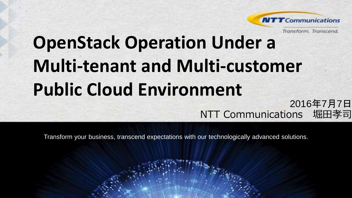

Transform, Transcend.

# **OpenStack Operation Under a Multi-tenant and Multi-customer Public Cloud Environment** 2016年7月7日

NTT Communications 堀田孝司

Transform your business, transcend expectations with our technologically advanced solutions.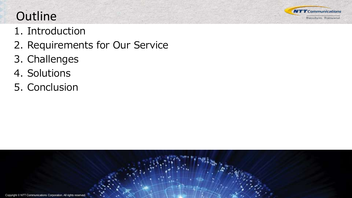

# **Outline**

- 1. Introduction
- 2. Requirements for Our Service
- 3. Challenges
- 4. Solutions
- 5. Conclusion

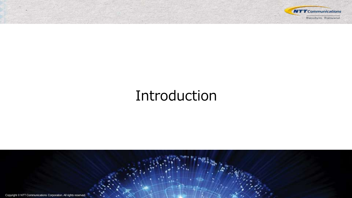

# Introduction

Copyright © NTT Communications Corporation. All rights reserved.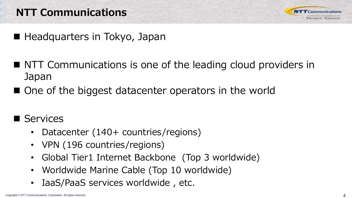## NTT Communications



- Headquarters in Tokyo, Japan
- NTT Communications is one of the leading cloud providers in Japan
- One of the biggest datacenter operators in the world
- Services
	- Datacenter (140+ countries/regions)
	- VPN (196 countries/regions)
	- Global Tier1 Internet Backbone (Top 3 worldwide)
	- Worldwide Marine Cable (Top 10 worldwide)
	- IaaS/PaaS services worldwide , etc.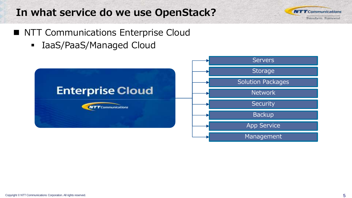## In what service do we use OpenStack?



- NTT Communications Enterprise Cloud
	- IaaS/PaaS/Managed Cloud

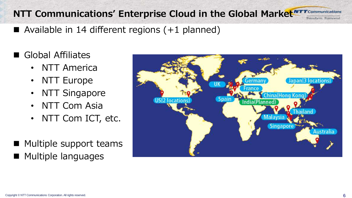#### NTT Communications' Enterprise Cloud in the Global Market **NTT Communications Transform Transcend**

- Available in 14 different regions  $(+1)$  planned)
- Global Affiliates
	- NTT America
	- NTT Europe
	- NTT Singapore
	- NTT Com Asia
	- NTT Com ICT, etc.
- $\blacksquare$  Multiple support teams **Multiple languages**

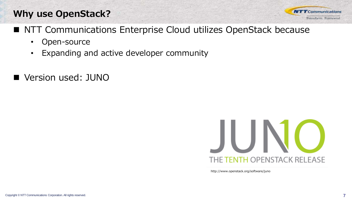### Why use OpenStack?

- NTT Communications Enterprise Cloud utilizes OpenStack because
	- Open-source
	- Expanding and active developer community
- Version used: JUNO



http://www.openstack.org/software/juno

**NTT** Communications Transform, Transcend.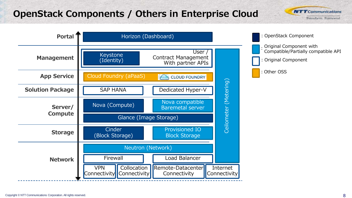#### OpenStack Components / Others in Enterprise Cloud

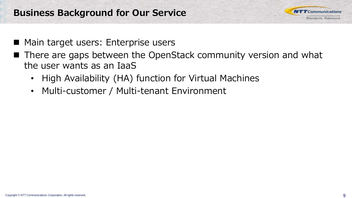

- Main target users: Enterprise users
- There are gaps between the OpenStack community version and what the user wants as an IaaS
	- High Availability (HA) function for Virtual Machines
	- Multi-customer / Multi-tenant Environment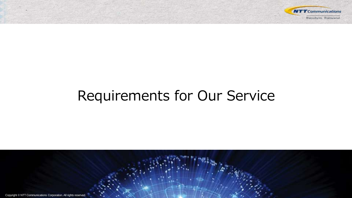

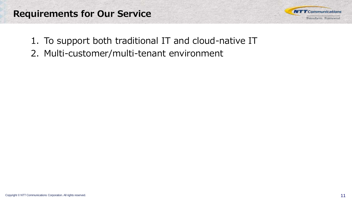

- 1. To support both traditional IT and cloud-native IT
- 2. Multi-customer/multi-tenant environment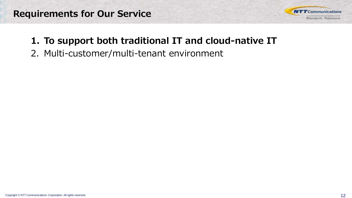

#### 1. To support both traditional IT and cloud-native IT

2. Multi-customer/multi-tenant environment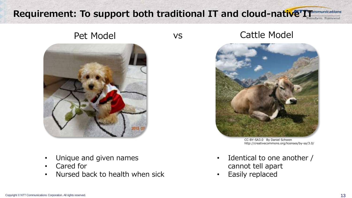#### Requirement: To support both traditional IT and cloud-native IT



- Unique and given names
- Cared for
- Nursed back to health when sick

#### Pet Model vs Cattle Model



CC-BY-SA3.0 By Daniel Schwen http://creativecommons.org/licenses/by-sa/3.0/

- Identical to one another / cannot tell apart
- Easily replaced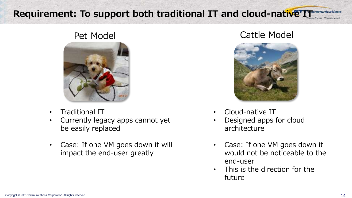#### Requirement: To support both traditional IT and cloud-native IT



- Traditional IT
- Currently legacy apps cannot yet be easily replaced
- Case: If one VM goes down it will impact the end-user greatly

#### Pet Model **Cattle Model**



- Cloud-native IT
- Designed apps for cloud architecture
- Case: If one VM goes down it would not be noticeable to the end-user
- This is the direction for the future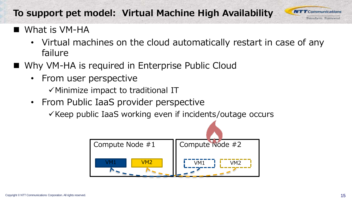#### To support pet model: Virtual Machine High Availability

What is VM-HA

- Virtual machines on the cloud automatically restart in case of any failure
- Why VM-HA is required in Enterprise Public Cloud
	- From user perspective

 $\checkmark$  Minimize impact to traditional IT

• From Public IaaS provider perspective

 $\checkmark$  Keep public IaaS working even if incidents/outage occurs



**NTT** Communications Transform, Transcend.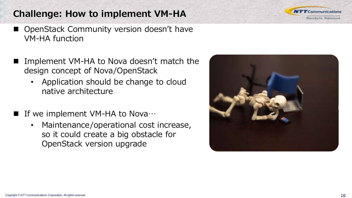#### Challenge: How to implement VM-HA

- OpenStack Community version doesn't have VM-HA function
- Implement VM-HA to Nova doesn't match the design concept of Nova/OpenStack
	- Application should be change to cloud native architecture
- If we implement VM-HA to Nova…
	- Maintenance/operational cost increase, so it could create a big obstacle for OpenStack version upgrade



**NTT** Communications Transform, Transcend.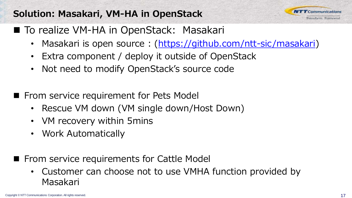#### Solution: Masakari, VM-HA in OpenStack

■ To realize VM-HA in OpenStack: Masakari

- Masakari is open source : (<https://github.com/ntt-sic/masakari>)
- Extra component / deploy it outside of OpenStack
- Not need to modify OpenStack's source code
- From service requirement for Pets Model
	- Rescue VM down (VM single down/Host Down)
	- VM recovery within 5mins
	- Work Automatically
- From service requirements for Cattle Model
	- Customer can choose not to use VMHA function provided by Masakari

 $MTT$ Communications Transform, Transcend.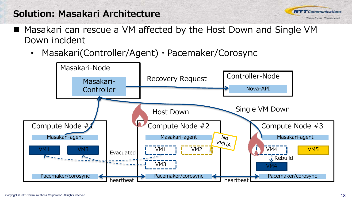#### Solution: Masakari Architecture

- Masakari can rescue a VM affected by the Host Down and Single VM Down incident
	- Masakari(Controller/Agent)・Pacemaker/Corosync



**NTT** Communications Transform, Transcend.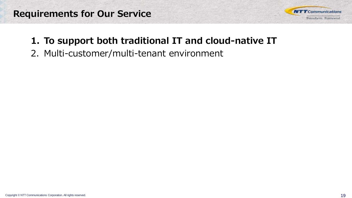

#### 1. To support both traditional IT and cloud-native IT

2. Multi-customer/multi-tenant environment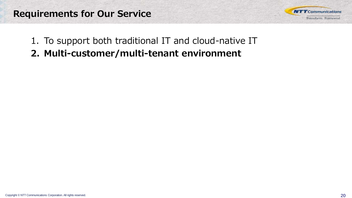

- 1. To support both traditional IT and cloud-native IT
- 2. Multi-customer/multi-tenant environment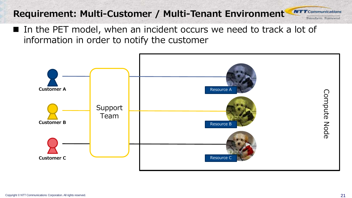#### Requirement: Multi-Customer / Multi-Tenant Environment **NTT** Communications

■ In the PET model, when an incident occurs we need to track a lot of information in order to notify the customer



Transform, Transcend.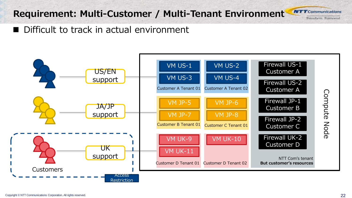#### Requirement: Multi-Customer / Multi-Tenant Environment

**NTT** Communications Transform, Transcend.

Difficult to track in actual environment

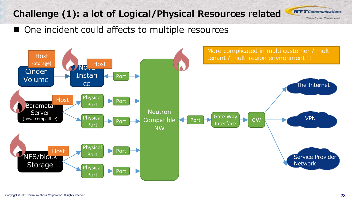## Challenge (1): a lot of Logical/Physical Resources related

**NTT** Communications Transform, Transcend.

■ One incident could affects to multiple resources

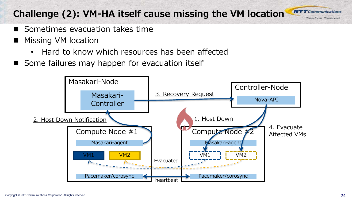### Challenge (2): VM-HA itself cause missing the VM location

- Sometimes evacuation takes time
- Missing VM location
	- Hard to know which resources has been affected
- Some failures may happen for evacuation itself



**NTT** Communications Transform, Transcend.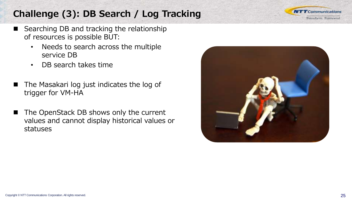## Challenge (3): DB Search / Log Tracking

- Searching DB and tracking the relationship of resources is possible BUT:
	- Needs to search across the multiple service DB
	- DB search takes time
- The Masakari log just indicates the log of trigger for VM-HA
- The OpenStack DB shows only the current values and cannot display historical values or statuses



**NTT** Communications Transform, Transcend.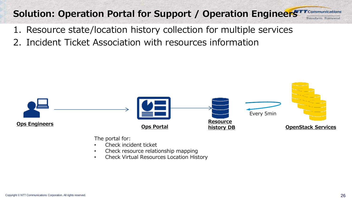#### Solution: Operation Portal for Support / Operation Engineers<sup>TT Communications</sup> Transform, Transcen

- 1. Resource state/location history collection for multiple services
- 2. Incident Ticket Association with resources information



The portal for:

- Check incident ticket
- Check resource relationship mapping
- Check Virtual Resources Location History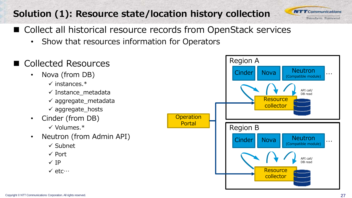## Solution (1): Resource state/location history collection



- Collect all historical resource records from OpenStack services
	- Show that resources information for Operators
- Collected Resources
	- Nova (from DB)
		- $\checkmark$  instances  $*$
		- $\checkmark$  Instance metadata
		- $\checkmark$  aggregate metadata
		- $\checkmark$  aggregate hosts
	- Cinder (from DB)
		- $\checkmark$  Volumes.\*
	- Neutron (from Admin API)
		- $\checkmark$  Subnet
		- $\checkmark$  Port
		- $\checkmark$  IP
		- $\checkmark$  etc $\cdots$

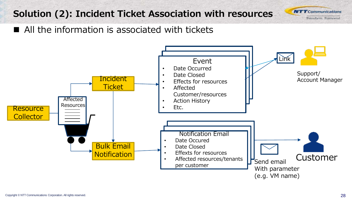### Solution (2): Incident Ticket Association with resources

**NTT** Communications Transform, Transcend.

■ All the information is associated with tickets

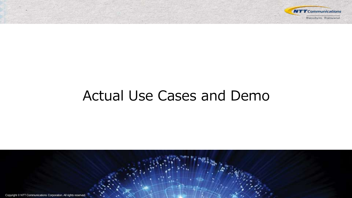

# Actual Use Cases and Demo

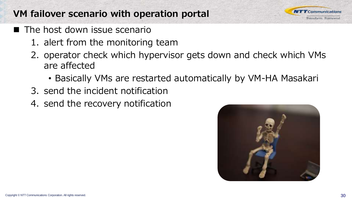#### VM failover scenario with operation portal

- $\blacksquare$  The host down issue scenario
	- 1. alert from the monitoring team
	- 2. operator check which hypervisor gets down and check which VMs are affected
		- Basically VMs are restarted automatically by VM-HA Masakari
	- 3. send the incident notification
	- 4. send the recovery notification



 $\boldsymbol{TT}$ Communications Transform, Transcend.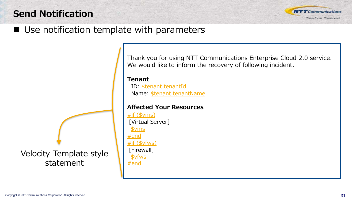#### Send Notification



#### ■ Use notification template with parameters

Velocity Template style statement

Thank you for using NTT Communications Enterprise Cloud 2.0 service. We would like to inform the recovery of following incident.

Tenant

 ID: \$tenant.tenantId Name: \$tenant.tenantName

#### Affected Your Resources

 $#$ if (\$vms) [Virtual Server] \$vms #end #if (\$vfws) [Firewall] \$vfws #end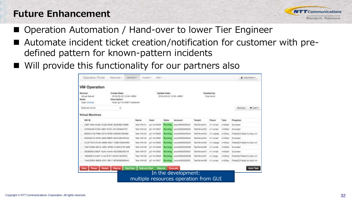#### Future Enhancement



- Operation Automation / Hand-over to lower Tier Engineer
- Automate incident ticket creation/notification for customer with predefined pattern for known-pattern incidents
- Will provide this functionality for our partners also

| <b>VM Operation</b><br>Service:<br>Virtual Server<br>State:<br><b>Citest (Close)</b><br>Selected flams | Create Date:<br>2016-03-23 12:49 +0900<br>Description:<br>Heat: jo7-rk10057 heatdown<br>٠ |              | Update Date:<br>2018-03-23 12:49 +0900    |                             |                   | Created by:<br>Yuka Herrin |             |                              | $H$ Cart -<br>Rentove       |
|--------------------------------------------------------------------------------------------------------|-------------------------------------------------------------------------------------------|--------------|-------------------------------------------|-----------------------------|-------------------|----------------------------|-------------|------------------------------|-----------------------------|
| Virtual Machines                                                                                       |                                                                                           |              |                                           |                             |                   |                            |             |                              |                             |
| VM ID                                                                                                  |                                                                                           | Name         | Host                                      | State                       | Account           | Temarri                    | Flavor      | Task                         | Progress                    |
| 236F19AB-A42B-4C0B-80AE-5EGEME789BB                                                                    |                                                                                           | Test-VIV-01  | ip7-rk10058                               | Running                     | econ9000000001    | TestTonantO                | m1.small    | vmStart                      | Succeed                     |
| 37D55346-FC85-4B67-872C-26102084E767                                                                   |                                                                                           | Test-VW-02   | jp7-#10057                                | Running                     | ecoy900000000     | Test Tenant02              | inth emuiti | <b><i>VinBtart</i></b>       | Successi                    |
| BDB2441B-F882-4D15-9F8D-9E83B7999486                                                                   |                                                                                           | Tiest VW-03  | ip7-is10063                               | Ratriéro                    | ecorr#000000004   | Test TenantO3              | mit.idarpe  | <b><i><u>VmStop</u></i></b>  | Falled 2: Falled to stop vm |
| E63AA81D-5P26-49A9-BBFE-804C2B44EA45                                                                   |                                                                                           | TimE-VIV-O4  | jp7-rk10062                               | <b><i>Phummano</i></b>      | econt8000000004   | TestTienantO4              | m1.small    | <b><i><u>vmStart</u></i></b> | Succeed                     |
| CC2F7222-EC46-469B-A5A1-758B1A53AFB5                                                                   |                                                                                           | Tiest-V1V-05 | jz/7-8/10083                              | <b><i><u>Rutime</u></i></b> | econii00000000    | Test SenaritOS             | ngwisc1m    | vmStno:                      | PalledGo/Falled to stop-ym  |
| CRH1D2BR-BECA-498F-9FBS-CC68CS1B13BB                                                                   |                                                                                           | Text-VM-OB   | in7-rk10056                               | Riunseng                    | #czm9000000000    | TestTerrantOD              | IN Larroad  | vmStart                      | <b>Successi</b>             |
| 062B6853-BB2F-45A4-A4AA-AEE5B626EF49                                                                   |                                                                                           | Test:-VM-07  | jp7-rk10062                               | Rumang                      | econ9000000007    | Test TenantO7              | millamali   | vmßtan                       | Succeso                     |
| 78500973-AA3F-414A-8727-3043313E3FEC                                                                   |                                                                                           | Test-VM-OR   | in7-A10056                                | <b>Plannings</b>            | wczyrkU0000000H   | TestTenartti               | mt large    | <b><i><u>vmStod</u></i></b>  | Fallest/2:Falled to stop ym |
| 7AA53DB3-8B09-4D51-B817-BF9E8B5B9940                                                                   |                                                                                           | Test-VM-09   | jp7-#x10057                               | <b>Runsteg:</b>             | c ecorr9000000001 | TestTenant09               | mt.email    | <b><i>VIVERIA</i></b>        | Falled Ct: Fured to stop ym |
|                                                                                                        | <b>Financial</b>                                                                          | Start Nyw    | <b>Walt and Stort</b><br><b>Funtaurun</b> |                             | Evanuate          |                            |             |                              | <b>Abort Task</b>           |